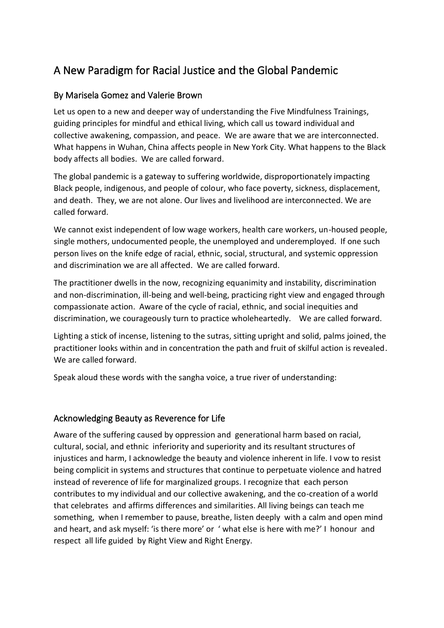# A New Paradigm for Racial Justice and the Global Pandemic

## By Marisela Gomez and Valerie Brown

Let us open to a new and deeper way of understanding the Five Mindfulness Trainings, guiding principles for mindful and ethical living, which call us toward individual and collective awakening, compassion, and peace. We are aware that we are interconnected. What happens in Wuhan, China affects people in New York City. What happens to the Black body affects all bodies. We are called forward.

The global pandemic is a gateway to suffering worldwide, disproportionately impacting Black people, indigenous, and people of colour, who face poverty, sickness, displacement, and death. They, we are not alone. Our lives and livelihood are interconnected. We are called forward.

We cannot exist independent of low wage workers, health care workers, un-housed people, single mothers, undocumented people, the unemployed and underemployed. If one such person lives on the knife edge of racial, ethnic, social, structural, and systemic oppression and discrimination we are all affected. We are called forward.

The practitioner dwells in the now, recognizing equanimity and instability, discrimination and non-discrimination, ill-being and well-being, practicing right view and engaged through compassionate action. Aware of the cycle of racial, ethnic, and social inequities and discrimination, we courageously turn to practice wholeheartedly. We are called forward.

Lighting a stick of incense, listening to the sutras, sitting upright and solid, palms joined, the practitioner looks within and in concentration the path and fruit of skilful action is revealed. We are called forward.

Speak aloud these words with the sangha voice, a true river of understanding:

#### Acknowledging Beauty as Reverence for Life

Aware of the suffering caused by oppression and generational harm based on racial, cultural, social, and ethnic inferiority and superiority and its resultant structures of injustices and harm, I acknowledge the beauty and violence inherent in life. I vow to resist being complicit in systems and structures that continue to perpetuate violence and hatred instead of reverence of life for marginalized groups. I recognize that each person contributes to my individual and our collective awakening, and the co-creation of a world that celebrates and affirms differences and similarities. All living beings can teach me something, when I remember to pause, breathe, listen deeply with a calm and open mind and heart, and ask myself: 'is there more' or ' what else is here with me?' I honour and respect all life guided by Right View and Right Energy.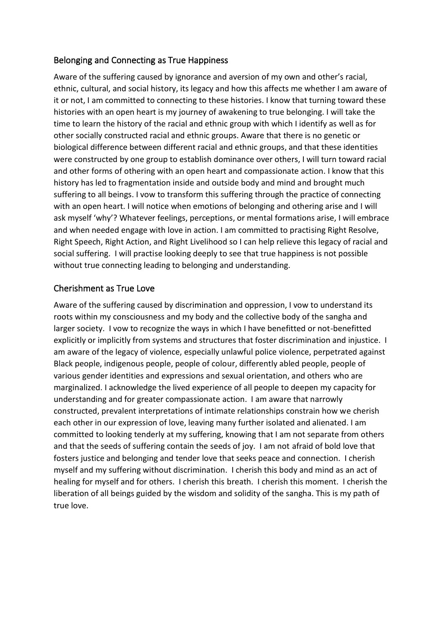## Belonging and Connecting as True Happiness

Aware of the suffering caused by ignorance and aversion of my own and other's racial, ethnic, cultural, and social history, its legacy and how this affects me whether I am aware of it or not, I am committed to connecting to these histories. I know that turning toward these histories with an open heart is my journey of awakening to true belonging. I will take the time to learn the history of the racial and ethnic group with which I identify as well as for other socially constructed racial and ethnic groups. Aware that there is no genetic or biological difference between different racial and ethnic groups, and that these identities were constructed by one group to establish dominance over others, I will turn toward racial and other forms of othering with an open heart and compassionate action. I know that this history has led to fragmentation inside and outside body and mind and brought much suffering to all beings. I vow to transform this suffering through the practice of connecting with an open heart. I will notice when emotions of belonging and othering arise and I will ask myself 'why'? Whatever feelings, perceptions, or mental formations arise, I will embrace and when needed engage with love in action. I am committed to practising Right Resolve, Right Speech, Right Action, and Right Livelihood so I can help relieve this legacy of racial and social suffering. I will practise looking deeply to see that true happiness is not possible without true connecting leading to belonging and understanding.

# Cherishment as True Love

Aware of the suffering caused by discrimination and oppression, I vow to understand its roots within my consciousness and my body and the collective body of the sangha and larger society. I vow to recognize the ways in which I have benefitted or not-benefitted explicitly or implicitly from systems and structures that foster discrimination and injustice. I am aware of the legacy of violence, especially unlawful police violence, perpetrated against Black people, indigenous people, people of colour, differently abled people, people of various gender identities and expressions and sexual orientation, and others who are marginalized. I acknowledge the lived experience of all people to deepen my capacity for understanding and for greater compassionate action. I am aware that narrowly constructed, prevalent interpretations of intimate relationships constrain how we cherish each other in our expression of love, leaving many further isolated and alienated. I am committed to looking tenderly at my suffering, knowing that I am not separate from others and that the seeds of suffering contain the seeds of joy. I am not afraid of bold love that fosters justice and belonging and tender love that seeks peace and connection. I cherish myself and my suffering without discrimination. I cherish this body and mind as an act of healing for myself and for others. I cherish this breath. I cherish this moment. I cherish the liberation of all beings guided by the wisdom and solidity of the sangha. This is my path of true love.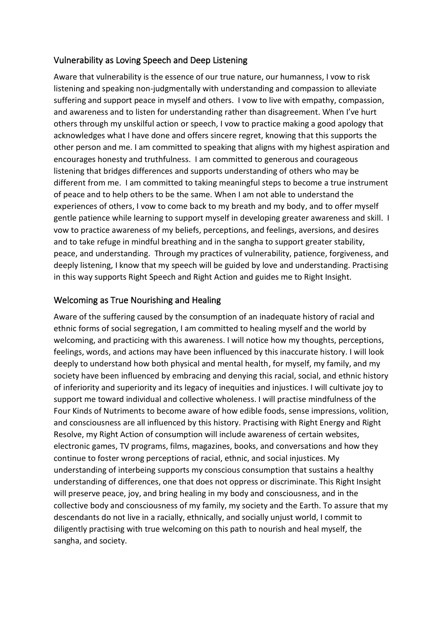## Vulnerability as Loving Speech and Deep Listening

Aware that vulnerability is the essence of our true nature, our humanness, I vow to risk listening and speaking non-judgmentally with understanding and compassion to alleviate suffering and support peace in myself and others. I vow to live with empathy, compassion, and awareness and to listen for understanding rather than disagreement. When I've hurt others through my unskilful action or speech, I vow to practice making a good apology that acknowledges what I have done and offers sincere regret, knowing that this supports the other person and me. I am committed to speaking that aligns with my highest aspiration and encourages honesty and truthfulness. I am committed to generous and courageous listening that bridges differences and supports understanding of others who may be different from me. I am committed to taking meaningful steps to become a true instrument of peace and to help others to be the same. When I am not able to understand the experiences of others, I vow to come back to my breath and my body, and to offer myself gentle patience while learning to support myself in developing greater awareness and skill. I vow to practice awareness of my beliefs, perceptions, and feelings, aversions, and desires and to take refuge in mindful breathing and in the sangha to support greater stability, peace, and understanding. Through my practices of vulnerability, patience, forgiveness, and deeply listening, I know that my speech will be guided by love and understanding. Practising in this way supports Right Speech and Right Action and guides me to Right Insight.

# Welcoming as True Nourishing and Healing

Aware of the suffering caused by the consumption of an inadequate history of racial and ethnic forms of social segregation, I am committed to healing myself and the world by welcoming, and practicing with this awareness. I will notice how my thoughts, perceptions, feelings, words, and actions may have been influenced by this inaccurate history. I will look deeply to understand how both physical and mental health, for myself, my family, and my society have been influenced by embracing and denying this racial, social, and ethnic history of inferiority and superiority and its legacy of inequities and injustices. I will cultivate joy to support me toward individual and collective wholeness. I will practise mindfulness of the Four Kinds of Nutriments to become aware of how edible foods, sense impressions, volition, and consciousness are all influenced by this history. Practising with Right Energy and Right Resolve, my Right Action of consumption will include awareness of certain websites, electronic games, TV programs, films, magazines, books, and conversations and how they continue to foster wrong perceptions of racial, ethnic, and social injustices. My understanding of interbeing supports my conscious consumption that sustains a healthy understanding of differences, one that does not oppress or discriminate. This Right Insight will preserve peace, joy, and bring healing in my body and consciousness, and in the collective body and consciousness of my family, my society and the Earth. To assure that my descendants do not live in a racially, ethnically, and socially unjust world, I commit to diligently practising with true welcoming on this path to nourish and heal myself, the sangha, and society.